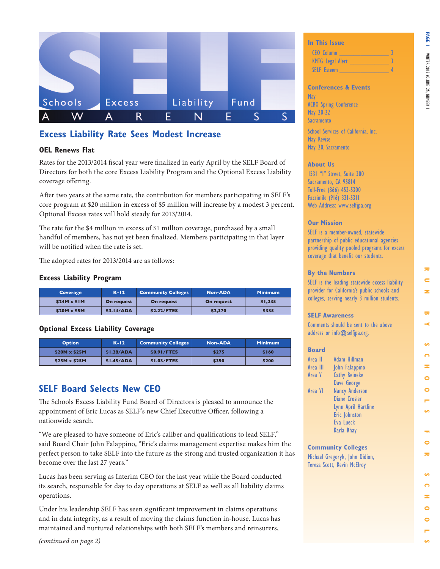

# **Excess Liability Rate Sees Modest Increase**

## **OEL Renews Flat**

Rates for the 2013/2014 fiscal year were finalized in early April by the SELF Board of Directors for both the core Excess Liability Program and the Optional Excess Liability coverage offering.

After two years at the same rate, the contribution for members participating in SELF's core program at \$20 million in excess of \$5 million will increase by a modest 3 percent. Optional Excess rates will hold steady for 2013/2014.

The rate for the \$4 million in excess of \$1 million coverage, purchased by a small handful of members, has not yet been finalized. Members participating in that layer will be notified when the rate is set.

The adopted rates for 2013/2014 are as follows:

## **Excess Liability Program**

| <b>Coverage</b>   | $K-12$            | <b>Community Colleges</b> | <b>Non-ADA</b> | <b>Minimum</b> |
|-------------------|-------------------|---------------------------|----------------|----------------|
| $$24M \times $1M$ | <b>On request</b> | <b>On request</b>         | On request     | \$1,235        |
| \$20M x \$5M      | \$3.14/ADA        | \$2.22/FTES               | \$2,370        | \$335          |

## **Optional Excess Liability Coverage**

| <b>Option</b> | $K-12$     | <b>Community Colleges</b> | <b>Non-ADA</b> | <b>Minimum</b> |
|---------------|------------|---------------------------|----------------|----------------|
| \$20M x \$25M | \$1.28/ADA | \$0.91/FTES               | \$275          | \$160          |
| \$25M x \$25M | \$1.45/ADA | \$1.03/FTES               | \$350          | \$200          |

# **SELF Board Selects New CEO**

The Schools Excess Liability Fund Board of Directors is pleased to announce the appointment of Eric Lucas as SELF's new Chief Executive Officer, following a nationwide search.

"We are pleased to have someone of Eric's caliber and qualifications to lead SELF," said Board Chair John Falappino, "Eric's claims management expertise makes him the perfect person to take SELF into the future as the strong and trusted organization it has become over the last 27 years."

Lucas has been serving as Interim CEO for the last year while the Board conducted its search, responsible for day to day operations at SELF as well as all liability claims operations.

Under his leadership SELF has seen significant improvement in claims operations and in data integrity, as a result of moving the claims function in-house. Lucas has maintained and nurtured relationships with both SELF's members and reinsurers,

*(continued on page 2)*

#### **In This Issue**

| CEO Column              |  |
|-------------------------|--|
| <b>KMTG Legal Alert</b> |  |
| <b>SELF</b> Esteem      |  |

## **Conferences & Events**

**May** ACBO Spring Conference May 20-22 **Sacramento** School Services of California, Inc. May Revise May 20, Sacramento

## **About Us**

1531 "I" Street, Suite 300 Sacramento, CA 95814 Toll-Free (866) 453-5300 Facsimile (916) 321-5311 Web Address: www.selfjpa.org

## **Our Mission**

SELF is a member-owned, statewide partnership of public educational agencies providing quality pooled programs for excess coverage that benefit our students.

### **By the Numbers**

SELF is the leading statewide excess liability provider for California's public schools and colleges, serving nearly 3 million students.

## **SELF Awareness**

Comments should be sent to the above address or info@selfjpa.org.

## **Board**

| Area II  | <b>Adam Hillman</b>   |
|----------|-----------------------|
| Area III | John Falappino        |
| Area V   | <b>Cathy Reineke</b>  |
|          | Dave George           |
| Area VI  | <b>Nancy Anderson</b> |
|          | <b>Diane Crosier</b>  |
|          | Lynn April Hartline   |
|          | <b>Eric</b> Johnston  |
|          | Eva Lueck             |
|          | <b>Karla Rhay</b>     |
|          |                       |

### **Community Colleges**

Michael Gregoryk, John Didion, Teresa Scott, Kevin McElroy

 $\overline{\phantom{a}}$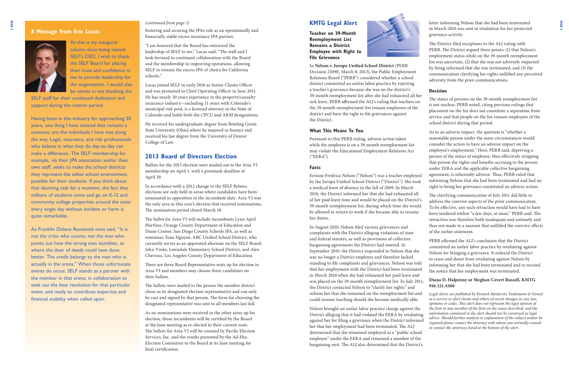## *(continued from page 1)*

# **A Message from Eric Lucas**



As this is my inaugural column since being named SELF's CEO, I wish to thank the SELF Board for placing their trust and confidence in me to provide leadership for the organization. I would also be remiss in not thanking the

SELF staff for their continued dedication and support during the interim period.

Having been in this industry for approaching 30 years, one thing I have noticed that remains a constant, are the individuals I have met along the way. Legal, insurance, and risk professionals who believe in what they do day-to-day can make a difference. The SELF membership for example, via their JPA association and/or their own staff, seeks to make the school districts they represent the safest school environment possible for their students. If you think about that daunting task for a moment, the fact that millions of students come and go on K-12 and community college properties around the state every single day without incident or harm is quite remarkable.

As Franklin Delano Roosevelt once said, "It is not the critic who counts; not the man who points out how the strong man stumbles, or where the doer of deeds could have done better. The credit belongs to the man who is actually in the arena." When those unfortunate events do occur, SELF stands as a partner with the member in that arena; in collaboration to seek out the best resolution for that particular event; and ready to contribute expertise and financial stability when called upon.

fostering and securing the JPAs role as an operationally and financially stable excess insurance JPA partner.

"I am honored that the Board has entrusted the leadership of SELF to me," Lucas said. "The staff and I look forward to continued collaboration with the Board and the membership in improving operations, allowing SELF to remain the excess JPA of choice for California schools."

Lucas joined SELF in early 2010 as Senior Claims Officer and was promoted to Chief Operating Officer in June 2011. He has nearly 30 years experience in the property/casualty insurance industry—including 11 years with Colorado's municipal risk pool, is a licensed attorney in the State of Colorado and holds both the CPCU and ARM designations.

He received his undergraduate degree from Bowling Green State University (Ohio) where he majored in finance and received his law degree from the University of Denver College of Law.

# **2013 Board of Directors Election**

Ballots for the 2013 election were mailed out to the Area VI membership on April 1, with a postmark deadline of April 29.

In accordance with a 2012 change to the SELF Bylaws, elections are only held in areas where candidates have been nominated in opposition to the incumbent slate. Area VI was the only area in this year's election that received nominations. The nomination period closed March 18.

The ballot for Area VI will include incumbents Lynn April Hartline, Orange County Department of Education and Diane Croiser, San Diego County Schools JPA, as well as nominees Toan Nguyen, ABC Unified School District, who currently serves as an appointed alternate on the SELF Board; John Vinke, Lawndale Elementary School District, and Alex Cherniss, Los Angeles County Department of Education.

There are three Board Representative seats up for election in Area VI and members may choose three candidates on their ballots.

The ballots were mailed to the person the member district chose as its designated election representative and can only be cast and signed by that person. The form for choosing the designated representative was sent to all members last fall.

As no nominations were received in the other areas up for election, those incumbents will be certified by the Board at the June meeting as re-elected to their current seats. The ballots for Area VI will be counted by Pacific Election Services, Inc. and the results presented by the Ad-Hoc Election Committee to the Board at its June meeting for final certification.

# **KMTG Legal Alert**

**Teacher on 39-Month Reemployment List Remains a District Employee with Right to File Grievance**



## **What This Means To You**

Pursuant to this PERB ruling, adverse action taken while the employee is on a 39-month reemployment list may violate the Educational Employment Relations Act ("EERA").

### **Facts**

Ermine Fredrica Nelson ("Nelson") was a teacher employed by the Jurupa Unified School District ("District"). She took a medical leave of absence in the fall of 2009. In March 2010, the District informed her that she had exhausted all of her paid leave time and would be placed on the District's 39-month reemployment list, during which time she would be allowed to return to work if she became able to resume her duties.

In **Nelson v. Jurupa Unified School District** (PERB Decision 2309E, March 8, 2013), the Public Employment Relations Board ("PERB") considered whether a school district committed an unfair labor practice by rejecting a teacher's grievance because she was on the district's 39-month reemployment list after she had exhausted all her sick leave. PERB affirmed the ALJ's ruling that teachers on the 39-month reemployment list remain employees of the district and have the right to file grievances against the District. by being informed that she was terminated, and (3) the adversity from the prior communications. **Decision** The status of persons on the 39-month reemployment list is not unclear, PERB noted, citing previous rulings that placement on the list does not constitute a separation from service and that people on the list remain employees of the school district during that period.

letter informing Nelson that she had been terminated in March 2010 was sent in retaliation for her protected grievance activity.

The District filed exceptions to the ALJ ruling with PERB. The District argued three points: (1) that Nelson's employment status while on the 39-month reemployment list was uncertain, (2) that she was not adversely impacted communication clarifying her rights nullified any perceived

In August 2010, Nelson filed various grievances and complaints with the District alleging violations of state and federal statutes, as well as provisions of collective bargaining agreements the District had entered. In September 2010, the District responded to Nelson that she was no longer a District employee and therefore lacked standing to file complaints and grievances. Nelson was told that her employment with the District had been terminated in March 2010 when she had exhausted her paid leave and was placed on the 39-month reemployment list. In July 2011, the District contacted Nelson to "clarify her rights" and inform her that she remained on the reemployment list and could resume teaching should she become medically able. of the earlier statement. PERB affirmed the ALJ's conclusion that the District committed an unfair labor practice by retaliating against Nelson for bringing a grievance. It ordered the District to cease and desist from retaliating against Nelson by informing her that she had been terminated and to rescind the notice that her employment was terminated. **Diana D. Halpenny or Meghan Covert Russell, KMTG 916.321.4500** *Legal Alerts are published by Kronick Moskovitz Tiedemann & Girard as a service to alert clients and others of recent changes in case law,* 

As to an adverse impact, the question is "whether a reasonable person under the same circumstances would consider the action to have an adverse impact on the employee's employment." Here, PERB said, depriving a person of the status of employee, thus effectively stripping that person the rights and benefits accruing to the person under EERA and the applicable collective bargaining agreement, is inherently adverse. Thus, PERB ruled that informing Nelson that she had been terminated and had no right to bring her grievance constituted an adverse action.

Nelson brought an unfair labor practice charge against the District alleging that it had violated the EERA by retaliating against her for filing a grievance when the District informed her that her employment had been terminated. The ALJ determined that she remained employed as a "public school employee" under the EERA and remained a member of the bargaining unit. The ALJ also determined that the District's *opinions or codes. This alert does not represent the legal opinion of the firm or any member of the firm on the issues described, and the information contained in the alert should not be construed as legal advice. Should further analysis or explanation of the subject matter be required please contact the attorney with whom you normally consult or contact the attorneys listed at the bottom of the alert.*

The clarifying communication of July 2011 did little to address the coercive aspects of the prior communication. To be effective, any such retraction would have had to have been tendered within "a few days, at most," PERB said. The retraction was therefore both inadequate and untimely and thus not made in a manner that nullified the coercive effects